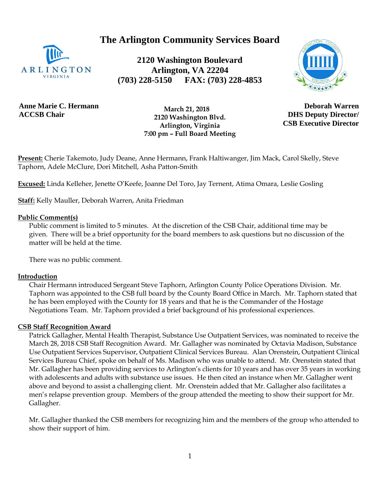**The Arlington Community Services Board**



**2120 Washington Boulevard Arlington, VA 22204 (703) 228-5150 FAX: (703) 228-4853**



**Anne Marie C. Hermann ACCSB Chair**

 **March 21, 2018 2120 Washington Blvd. Arlington, Virginia 7:00 pm – Full Board Meeting**

**Deborah Warren DHS Deputy Director/ CSB Executive Director**

**Present:** Cherie Takemoto, Judy Deane, Anne Hermann, Frank Haltiwanger, Jim Mack, Carol Skelly, Steve Taphorn, Adele McClure, Dori Mitchell, Asha Patton-Smith

**Excused:** Linda Kelleher, Jenette O'Keefe, Joanne Del Toro, Jay Ternent, Atima Omara, Leslie Gosling

**Staff:** Kelly Mauller, Deborah Warren, Anita Friedman

#### **Public Comment(s)**

Public comment is limited to 5 minutes. At the discretion of the CSB Chair, additional time may be given. There will be a brief opportunity for the board members to ask questions [but](http://but.no/) no discussion of the matter will be held at the time.

There was no public comment.

### **Introduction**

Chair Hermann introduced Sergeant Steve Taphorn, Arlington County Police Operations Division. Mr. Taphorn was appointed to the CSB full board by the County Board Office in March. Mr. Taphorn stated that he has been employed with the County for 18 years and that he is the Commander of the Hostage Negotiations Team. Mr. Taphorn provided a brief background of his professional experiences.

### **CSB Staff Recognition Award**

Patrick Gallagher, Mental Health Therapist, Substance Use Outpatient Services, was nominated to receive the March 28, 2018 CSB Staff Recognition Award. Mr. Gallagher was nominated by Octavia Madison, Substance Use Outpatient Services Supervisor, Outpatient Clinical Services Bureau. Alan Orenstein, Outpatient Clinical Services Bureau Chief, spoke on behalf of Ms. Madison who was unable to attend. Mr. Orenstein stated that Mr. Gallagher has been providing services to Arlington's clients for 10 years and has over 35 years in working with adolescents and adults with substance use issues. He then cited an instance when Mr. Gallagher went above and beyond to assist a challenging client. Mr. Orenstein added that Mr. Gallagher also facilitates a men's relapse prevention group. Members of the group attended the meeting to show their support for Mr. Gallagher.

Mr. Gallagher thanked the CSB members for recognizing him and the members of the group who attended to show their support of him.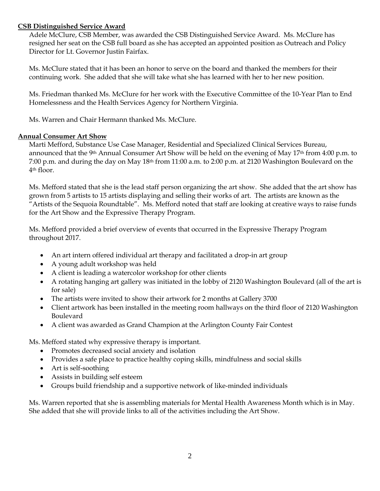### **CSB Distinguished Service Award**

Adele McClure, CSB Member, was awarded the CSB Distinguished Service Award. Ms. McClure has resigned her seat on the CSB full board as she has accepted an appointed position as Outreach and Policy Director for Lt. Governor Justin Fairfax.

Ms. McClure stated that it has been an honor to serve on the board and thanked the members for their continuing work. She added that she will take what she has learned with her to her new position.

Ms. Friedman thanked Ms. McClure for her work with the Executive Committee of the 10-Year Plan to End Homelessness and the Health Services Agency for Northern Virginia.

Ms. Warren and Chair Hermann thanked Ms. McClure.

### **Annual Consumer Art Show**

Marti Mefford, Substance Use Case Manager, Residential and Specialized Clinical Services Bureau, announced that the 9th Annual Consumer Art Show will be held on the evening of May 17th from 4:00 p.m. to 7:00 p.m. and during the day on May 18th from 11:00 a.m. to 2:00 p.m. at 2120 Washington Boulevard on the 4th floor.

Ms. Mefford stated that she is the lead staff person organizing the art show. She added that the art show has grown from 5 artists to 15 artists displaying and selling their works of art. The artists are known as the "Artists of the Sequoia Roundtable". Ms. Mefford noted that staff are looking at creative ways to raise funds for the Art Show and the Expressive Therapy Program.

Ms. Mefford provided a brief overview of events that occurred in the Expressive Therapy Program throughout 2017.

- An art intern offered individual art therapy and facilitated a drop-in art group
- A young adult workshop was held
- A client is leading a watercolor workshop for other clients
- A rotating hanging art gallery was initiated in the lobby of 2120 Washington Boulevard (all of the art is for sale)
- The artists were invited to show their artwork for 2 months at Gallery 3700
- Client artwork has been installed in the meeting room hallways on the third floor of 2120 Washington Boulevard
- A client was awarded as Grand Champion at the Arlington County Fair Contest

Ms. Mefford stated why expressive therapy is important.

- Promotes decreased social anxiety and isolation
- Provides a safe place to practice healthy coping skills, mindfulness and social skills
- Art is self-soothing
- Assists in building self esteem
- Groups build friendship and a supportive network of like-minded individuals

Ms. Warren reported that she is assembling materials for Mental Health Awareness Month which is in May. She added that she will provide links to all of the activities including the Art Show.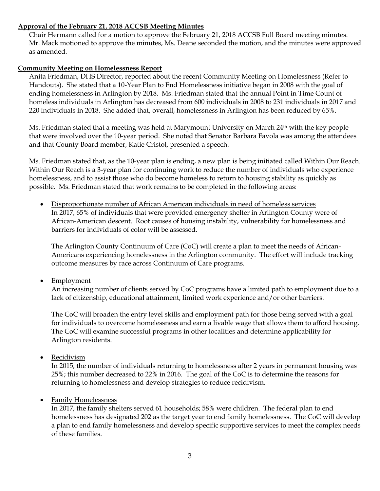## **Approval of the February 21, 2018 ACCSB Meeting Minutes**

Chair Hermann called for a motion to approve the February 21, 2018 ACCSB Full Board meeting minutes. Mr. Mack motioned to approve the minutes, Ms. Deane seconded the motion, and the minutes were approved as amended.

## **Community Meeting on Homelessness Report**

Anita Friedman, DHS Director, reported about the recent Community Meeting on Homelessness (Refer to Handouts). She stated that a 10-Year Plan to End Homelessness initiative began in 2008 with the goal of ending homelessness in Arlington by 2018. Ms. Friedman stated that the annual Point in Time Count of homeless individuals in Arlington has decreased from 600 individuals in 2008 to 231 individuals in 2017 and 220 individuals in 2018. She added that, overall, homelessness in Arlington has been reduced by 65%.

Ms. Friedman stated that a meeting was held at Marymount University on March  $24<sup>th</sup>$  with the key people that were involved over the 10-year period. She noted that Senator Barbara Favola was among the attendees and that County Board member, Katie Cristol, presented a speech.

Ms. Friedman stated that, as the 10-year plan is ending, a new plan is being initiated called Within Our Reach. Within Our Reach is a 3-year plan for continuing work to reduce the number of individuals who experience homelessness, and to assist those who do become homeless to return to housing stability as quickly as possible. Ms. Friedman stated that work remains to be completed in the following areas:

• Disproportionate number of African American individuals in need of homeless services In 2017, 65% of individuals that were provided emergency shelter in Arlington County were of African-American descent. Root causes of housing instability, vulnerability for homelessness and barriers for individuals of color will be assessed.

The Arlington County Continuum of Care (CoC) will create a plan to meet the needs of African-Americans experiencing homelessness in the Arlington community. The effort will include tracking outcome measures by race across Continuum of Care programs.

• Employment

An increasing number of clients served by CoC programs have a limited path to employment due to a lack of citizenship, educational attainment, limited work experience and/or other barriers.

The CoC will broaden the entry level skills and employment path for those being served with a goal for individuals to overcome homelessness and earn a livable wage that allows them to afford housing. The CoC will examine successful programs in other localities and determine applicability for Arlington residents.

• Recidivism

In 2015, the number of individuals returning to homelessness after 2 years in permanent housing was 25%; this number decreased to 22% in 2016. The goal of the CoC is to determine the reasons for returning to homelessness and develop strategies to reduce recidivism.

### Family Homelessness

In 2017, the family shelters served 61 households; 58% were children. The federal plan to end homelessness has designated 202 as the target year to end family homelessness. The CoC will develop a plan to end family homelessness and develop specific supportive services to meet the complex needs of these families.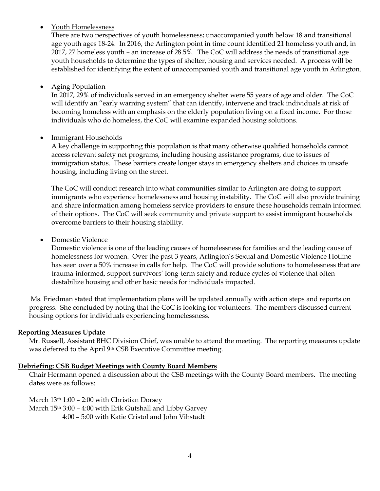### Youth Homelessness

There are two perspectives of youth homelessness; unaccompanied youth below 18 and transitional age youth ages 18-24. In 2016, the Arlington point in time count identified 21 homeless youth and, in 2017, 27 homeless youth – an increase of 28.5%. The CoC will address the needs of transitional age youth households to determine the types of shelter, housing and services needed. A process will be established for identifying the extent of unaccompanied youth and transitional age youth in Arlington.

## Aging Population

In 2017, 29% of individuals served in an emergency shelter were 55 years of age and older. The CoC will identify an "early warning system" that can identify, intervene and track individuals at risk of becoming homeless with an emphasis on the elderly population living on a fixed income. For those individuals who do homeless, the CoC will examine expanded housing solutions.

## • Immigrant Households

A key challenge in supporting this population is that many otherwise qualified households cannot access relevant safety net programs, including housing assistance programs, due to issues of immigration status. These barriers create longer stays in emergency shelters and choices in unsafe housing, including living on the street.

The CoC will conduct research into what communities similar to Arlington are doing to support immigrants who experience homelessness and housing instability. The CoC will also provide training and share information among homeless service providers to ensure these households remain informed of their options. The CoC will seek community and private support to assist immigrant households overcome barriers to their housing stability.

## • Domestic Violence

Domestic violence is one of the leading causes of homelessness for families and the leading cause of homelessness for women. Over the past 3 years, Arlington's Sexual and Domestic Violence Hotline has seen over a 50% increase in calls for help. The CoC will provide solutions to homelessness that are trauma-informed, support survivors' long-term safety and reduce cycles of violence that often destabilize housing and other basic needs for individuals impacted.

Ms. Friedman stated that implementation plans will be updated annually with action steps and reports on progress. She concluded by noting that the CoC is looking for volunteers. The members discussed current housing options for individuals experiencing homelessness.

# **Reporting Measures Update**

Mr. Russell, Assistant BHC Division Chief, was unable to attend the meeting. The reporting measures update was deferred to the April 9th CSB Executive Committee meeting.

### **Debriefing: CSB Budget Meetings with County Board Members**

Chair Hermann opened a discussion about the CSB meetings with the County Board members. The meeting dates were as follows:

March 13th 1:00 – 2:00 with Christian Dorsey

March 15th 3:00 – 4:00 with Erik Gutshall and Libby Garvey 4:00 – 5:00 with Katie Cristol and John Vihstadt

4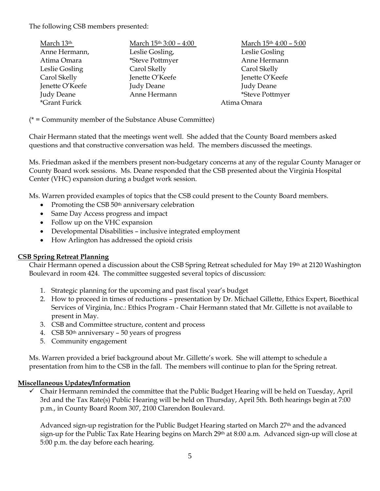The following CSB members presented:

| March 13th        | March 15th 3:00 - 4:00 | March 15th 4:00 - 5:00 |
|-------------------|------------------------|------------------------|
| Anne Hermann,     | Leslie Gosling,        | Leslie Gosling         |
| Atima Omara       | *Steve Pottmyer        | Anne Hermann           |
| Leslie Gosling    | Carol Skelly           | Carol Skelly           |
| Carol Skelly      | Jenette O'Keefe        | Jenette O'Keefe        |
| Jenette O'Keefe   | <b>Judy Deane</b>      | <b>Judy Deane</b>      |
| <b>Judy Deane</b> | Anne Hermann           | *Steve Pottmyer        |
| *Grant Furick     | Atima Omara            |                        |

(\* = Community member of the Substance Abuse Committee)

Chair Hermann stated that the meetings went well. She added that the County Board members asked questions and that constructive conversation was held. The members discussed the meetings.

Ms. Friedman asked if the members present non-budgetary concerns at any of the regular County Manager or County Board work sessions. Ms. Deane responded that the CSB presented about the Virginia Hospital Center (VHC) expansion during a budget work session.

Ms. Warren provided examples of topics that the CSB could present to the County Board members.

- Promoting the CSB  $50<sup>th</sup>$  anniversary celebration
- Same Day Access progress and impact
- Follow up on the VHC expansion
- Developmental Disabilities inclusive integrated employment
- How Arlington has addressed the opioid crisis

### **CSB Spring Retreat Planning**

Chair Hermann opened a discussion about the CSB Spring Retreat scheduled for May 19th at 2120 Washington Boulevard in room 424. The committee suggested several topics of discussion:

- 1. Strategic planning for the upcoming and past fiscal year's budget
- 2. How to proceed in times of reductions presentation by Dr. Michael Gillette, Ethics Expert, Bioethical Services of Virginia, Inc.: Ethics Program - Chair Hermann stated that Mr. Gillette is not available to present in May.
- 3. CSB and Committee structure, content and process
- 4. CSB  $50<sup>th</sup>$  anniversary  $-50$  years of progress
- 5. Community engagement

Ms. Warren provided a brief background about Mr. Gillette's work. She will attempt to schedule a presentation from him to the CSB in the fall. The members will continue to plan for the Spring retreat.

### **Miscellaneous Updates/Information**

 $\checkmark$  Chair Hermann reminded the committee that the Public Budget Hearing will be held on Tuesday, April 3rd and the Tax Rate(s) Public Hearing will be held on Thursday, April 5th. Both hearings begin at 7:00 p.m., in County Board Room 307, 2100 Clarendon Boulevard.

Advanced sign-up registration for the Public Budget Hearing started on March 27<sup>th</sup> and the advanced sign-up for the Public Tax Rate Hearing begins on March 29<sup>th</sup> at 8:00 a.m. Advanced sign-up will close at 5:00 p.m. the day before each hearing.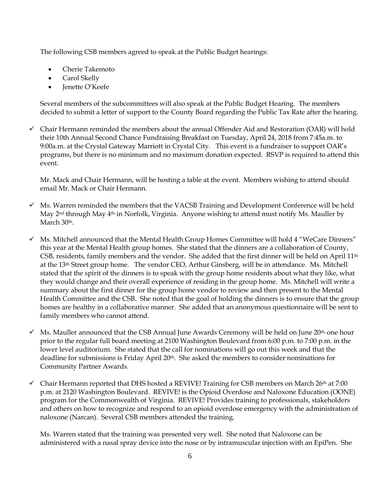The following CSB members agreed to speak at the Public Budget hearings:

- Cherie Takemoto
- Carol Skelly
- Jenette O'Keefe

Several members of the subcommittees will also speak at the Public Budget Hearing. The members decided to submit a letter of support to the County Board regarding the Public Tax Rate after the hearing.

 $\checkmark$  Chair Hermann reminded the members about the annual Offender Aid and Restoration (OAR) will hold their 10th Annual Second Chance Fundraising Breakfast on Tuesday, April 24, 2018 from 7:45a.m. to 9:00a.m. at the Crystal Gateway Marriott in Crystal City. This event is a fundraiser to support OAR's programs, but there is no minimum and no maximum donation expected. RSVP is required to attend this event.

Mr. Mack and Chair Hermann, will be hosting a table at the event. Members wishing to attend should email Mr. Mack or Chair Hermann.

- $\checkmark$  Ms. Warren reminded the members that the VACSB Training and Development Conference will be held May 2nd through May 4th in Norfolk, Virginia. Anyone wishing to attend must notify Ms. Mauller by March 30<sup>th</sup>.
- $\checkmark$  Ms. Mitchell announced that the Mental Health Group Homes Committee will hold 4 "WeCare Dinners" this year at the Mental Health group homes. She stated that the dinners are a collaboration of County, CSB, residents, family members and the vendor. She added that the first dinner will be held on April  $11<sup>th</sup>$ at the 13<sup>th</sup> Street group home. The vendor CEO, Arthur Ginsberg, will be in attendance. Ms. Mitchell stated that the spirit of the dinners is to speak with the group home residents about what they like, what they would change and their overall experience of residing in the group home. Ms. Mitchell will write a summary about the first dinner for the group home vendor to review and then present to the Mental Health Committee and the CSB. She noted that the goal of holding the dinners is to ensure that the group homes are healthy in a collaborative manner. She added that an anonymous questionnaire will be sent to family members who cannot attend.
- $\checkmark$  Ms. Mauller announced that the CSB Annual June Awards Ceremony will be held on June 20<sup>th,</sup> one hour prior to the regular full board meeting at 2100 Washington Boulevard from 6:00 p.m. to 7:00 p.m. in the lower level auditorium. She stated that the call for nominations will go out this week and that the deadline for submissions is Friday April 20<sup>th</sup>. She asked the members to consider nominations for Community Partner Awards.
- $\checkmark$  Chair Hermann reported that DHS hosted a REVIVE! Training for CSB members on March 26<sup>th</sup> at 7:00 p.m. at 2120 Washington Boulevard. REVIVE! is the Opioid Overdose and Naloxone Education (OONE) program for the Commonwealth of Virginia. REVIVE! Provides training to professionals, stakeholders and others on how to recognize and respond to an opioid overdose emergency with the administration of naloxone (Narcan). Several CSB members attended the training.

Ms. Warren stated that the training was presented very well. She noted that Naloxone can be administered with a nasal spray device into the nose or by intramuscular injection with an EpiPen. She